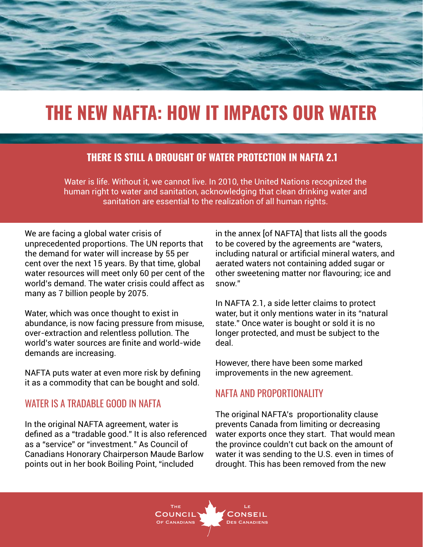

# **THE NEW NAFTA: HOW IT IMPACTS OUR WATER**

### **THERE IS STILL A DROUGHT OF WATER PROTECTION IN NAFTA 2.1**

Water is life. Without it, we cannot live. In 2010, the United Nations recognized the human right to water and sanitation, acknowledging that clean drinking water and sanitation are essential to the realization of all human rights.

We are facing a global water crisis of unprecedented proportions. The UN reports that the demand for water will increase by 55 per cent over the next 15 years. By that time, global water resources will meet only 60 per cent of the world's demand. The water crisis could affect as many as 7 billion people by 2075.

Water, which was once thought to exist in abundance, is now facing pressure from misuse, over-extraction and relentless pollution. The world's water sources are finite and world-wide demands are increasing.

NAFTA puts water at even more risk by defining it as a commodity that can be bought and sold.

### WATER IS A TRADABLE GOOD IN NAFTA

In the original NAFTA agreement, water is defined as a "tradable good." It is also referenced as a "service" or "investment." As Council of Canadians Honorary Chairperson Maude Barlow points out in her book Boiling Point, "included

in the annex [of NAFTA] that lists all the goods to be covered by the agreements are "waters, including natural or artificial mineral waters, and aerated waters not containing added sugar or other sweetening matter nor flavouring; ice and snow."

In NAFTA 2.1, a side letter claims to protect water, but it only mentions water in its "natural state." Once water is bought or sold it is no longer protected, and must be subject to the deal.

However, there have been some marked improvements in the new agreement.

### NAFTA AND PROPORTIONALITY

The original NAFTA's proportionality clause prevents Canada from limiting or decreasing water exports once they start. That would mean the province couldn't cut back on the amount of water it was sending to the U.S. even in times of drought. This has been removed from the new